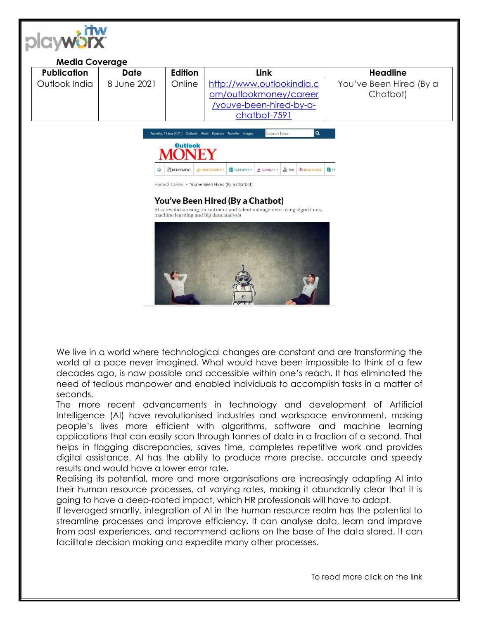| <b>Publication</b> | <b>Date</b> | Edition           | Link                                                                                                                | <b>Headline</b>         |
|--------------------|-------------|-------------------|---------------------------------------------------------------------------------------------------------------------|-------------------------|
| Outlook India      | 8 June 2021 | Online            | http://www.outlookindia.c                                                                                           | You've Been Hired (By a |
|                    |             |                   | om/outlookmoney/career                                                                                              | Chatbot)                |
|                    |             |                   | /youve-been-hired-by-a-                                                                                             |                         |
|                    |             |                   | chatbot-7591                                                                                                        |                         |
|                    |             |                   | $\alpha$<br>Search here<br>Tuesday, 15 Jun 2021   Outlook Hindi Business Traveller Images                           |                         |
|                    |             | <b>Outlook</b>    |                                                                                                                     |                         |
|                    |             |                   |                                                                                                                     |                         |
|                    | $\Omega$    | <b>RETIREMENT</b> | <b>EXPENSES</b><br><b>&amp; TAX</b><br><b>AO INSURANCE</b><br>rb INVESTMENT -<br>$\frac{1}{2}$ SAVINGS -            | <b>BITE</b>             |
|                    |             |                   | Home » Career » You've Been Hired (By a Chatbot)                                                                    |                         |
|                    |             |                   | You've Been Hired (By a Chatbot)                                                                                    |                         |
|                    |             |                   | AI is revolutionising recruitment and talent management using algorithms,<br>machine learning and big data analysis |                         |
|                    |             |                   |                                                                                                                     |                         |
|                    |             |                   |                                                                                                                     |                         |
|                    |             |                   |                                                                                                                     |                         |
|                    |             |                   |                                                                                                                     |                         |
|                    |             |                   |                                                                                                                     |                         |
|                    |             |                   |                                                                                                                     |                         |
|                    |             |                   |                                                                                                                     |                         |
|                    |             |                   |                                                                                                                     |                         |

 $\sim$ 

We live in a world where technological changes are constant and are transforming the world at a pace never imagined. What would have been impossible to think of a few decades ago, is now possible and accessible within one's reach. It has eliminated the need of tedious manpower and enabled individuals to accomplish tasks in a matter of seconds.

The more recent advancements in technology and development of Artificial Intelligence (AI) have revolutionised industries and workspace environment, making people's lives more efficient with algorithms, software and machine learning applications that can easily scan through tonnes of data in a fraction of a second. That helps in flagging discrepancies, saves time, completes repetitive work and provides digital assistance. AI has the ability to produce more precise, accurate and speedy results and would have a lower error rate.

Realising its potential, more and more organisations are increasingly adapting AI into their human resource processes, at varying rates, making it abundantly clear that it is going to have a deep-rooted impact, which HR professionals will have to adapt.

If leveraged smartly, integration of AI in the human resource realm has the potential to streamline processes and improve efficiency. It can analyse data, learn and improve from past experiences, and recommend actions on the base of the data stored. It can facilitate decision making and expedite many other processes.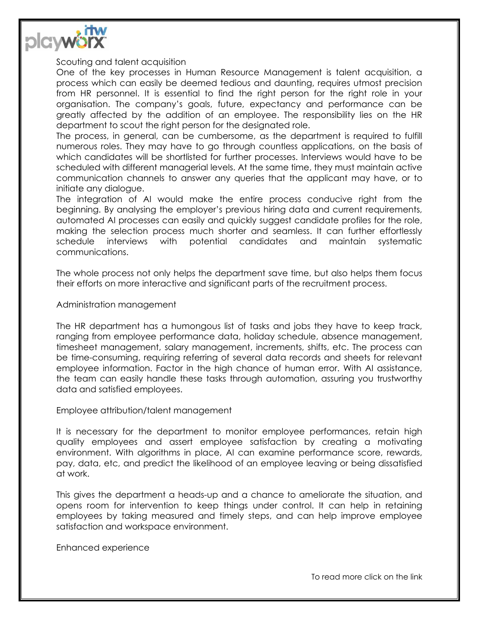

Scouting and talent acquisition

One of the key processes in Human Resource Management is talent acquisition, a process which can easily be deemed tedious and daunting, requires utmost precision from HR personnel. It is essential to find the right person for the right role in your organisation. The company's goals, future, expectancy and performance can be greatly affected by the addition of an employee. The responsibility lies on the HR department to scout the right person for the designated role.

The process, in general, can be cumbersome, as the department is required to fulfill numerous roles. They may have to go through countless applications, on the basis of which candidates will be shortlisted for further processes. Interviews would have to be scheduled with different managerial levels. At the same time, they must maintain active communication channels to answer any queries that the applicant may have, or to initiate any dialogue.

The integration of AI would make the entire process conducive right from the beginning. By analysing the employer's previous hiring data and current requirements, automated AI processes can easily and quickly suggest candidate profiles for the role, making the selection process much shorter and seamless. It can further effortlessly schedule interviews with potential candidates and maintain systematic communications.

The whole process not only helps the department save time, but also helps them focus their efforts on more interactive and significant parts of the recruitment process.

Administration management

The HR department has a humongous list of tasks and jobs they have to keep track, ranging from employee performance data, holiday schedule, absence management, timesheet management, salary management, increments, shifts, etc. The process can be time-consuming, requiring referring of several data records and sheets for relevant employee information. Factor in the high chance of human error. With AI assistance, the team can easily handle these tasks through automation, assuring you trustworthy data and satisfied employees.

Employee attribution/talent management

It is necessary for the department to monitor employee performances, retain high quality employees and assert employee satisfaction by creating a motivating environment. With algorithms in place, AI can examine performance score, rewards, pay, data, etc, and predict the likelihood of an employee leaving or being dissatisfied at work.

This gives the department a heads-up and a chance to ameliorate the situation, and opens room for intervention to keep things under control. It can help in retaining employees by taking measured and timely steps, and can help improve employee satisfaction and workspace environment.

Enhanced experience

To read more click on the link